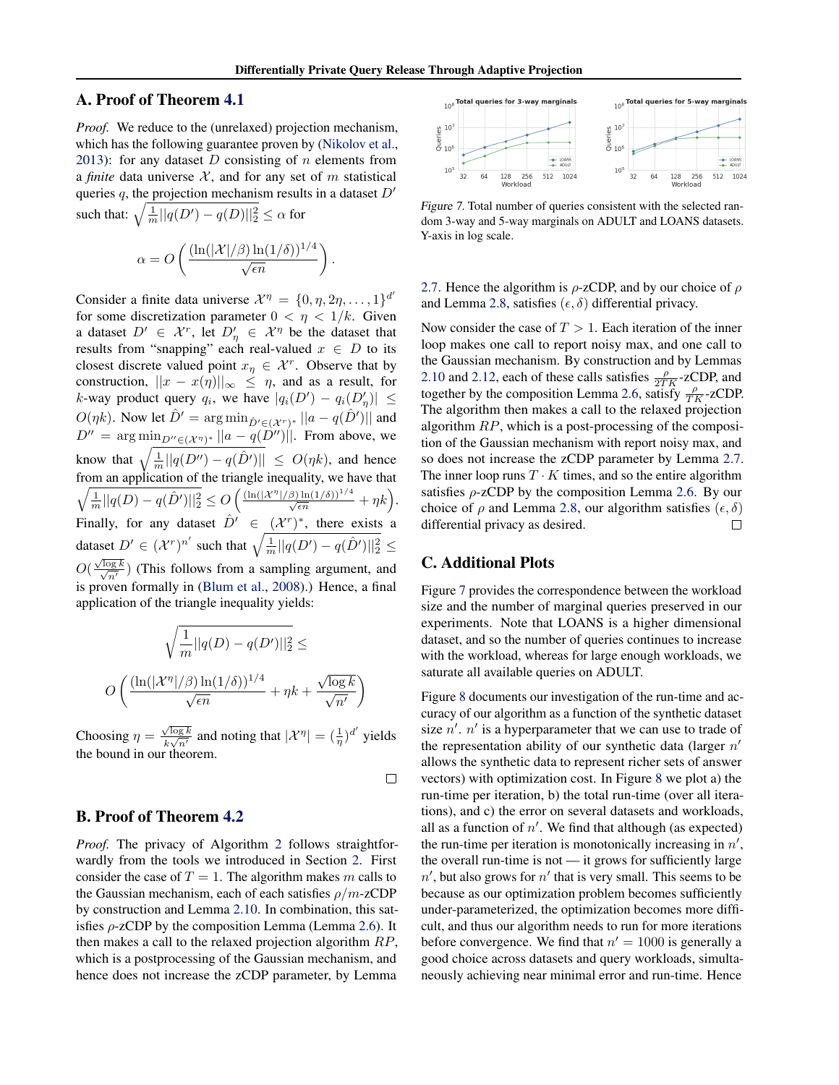## A. Proof of Theorem [4.1](#page--1-0)

*Proof.* We reduce to the (unrelaxed) projection mechanism, which has the following guarantee proven by [\(Nikolov et al.,](#page--1-0) [2013\)](#page--1-0): for any dataset  $D$  consisting of  $n$  elements from a *finite* data universe  $X$ , and for any set of m statistical queries q, the projection mechanism results in a dataset  $D'$ 

such that:  $\sqrt{\frac{1}{m}||q(D') - q(D)||_2^2} \le \alpha$  for  $\alpha = O\left(\frac{(\ln(|\mathcal{X}|/\beta) \ln(1/\delta))^{1/4}}{\sqrt{\epsilon n}}\right).$ 

Consider a finite data universe  $\mathcal{X}^{\eta} = \{0, \eta, 2\eta, \dots, 1\}^{d'}$ for some discretization parameter  $0 < \eta < 1/k$ . Given a dataset  $D' \in \mathcal{X}^r$ , let  $D'_\eta \in \mathcal{X}^\eta$  be the dataset that results from "snapping" each real-valued  $x \in D$  to its closest discrete valued point  $x_{\eta} \in \mathcal{X}^{r}$ . Observe that by construction,  $||x - x(\eta)||_{\infty} \leq \eta$ , and as a result, for k-way product query  $q_i$ , we have  $|q_i(D') - q_i(D'_\eta)| \leq$  $O(\eta k)$ . Now let  $\hat{D}' = \arg \min_{\hat{D}' \in (X^r)^*} ||a - q(\hat{D}')||$  and  $D'' = \arg \min_{D'' \in (X^{\eta})^*} ||a - q(D'')||$ . From above, we know that  $\sqrt{\frac{1}{m} ||q(D'') - q(\hat{D}')||} \leq O(\eta k)$ , and hence from an application of the triangle inequality, we have that  $\sqrt{\frac{1}{m}||q(D) - q(D')||_2^2} \leq O\left(\frac{(\ln(|\mathcal{X}^{\eta}|/\beta)\ln(1/\delta))^{1/4}}{\sqrt{\epsilon n}} + \eta k\right).$ Finally, for any dataset  $\hat{D}' \in (\mathcal{X}^r)^*$ , there exists a dataset  $D' \in (\mathcal{X}^r)^{n'}$  such that  $\sqrt{\frac{1}{m} ||q(D') - q(\hat{D}')||_2^2} \leq$  $O(\frac{\sqrt{2}}{2})$  $\sqrt{\log k}$  $\frac{\log k}{n'}$ ) (This follows from a sampling argument, and is proven formally in [\(Blum et al.,](#page--1-0) [2008\)](#page--1-0).) Hence, a final application of the triangle inequality yields:

$$
\sqrt{\frac{1}{m}||q(D) - q(D')||_2^2} \le
$$

$$
O\left(\frac{(\ln(|\mathcal{X}^{\eta}|/\beta)\ln(1/\delta))^{1/4}}{\sqrt{\epsilon n}} + \eta k + \frac{\sqrt{\log k}}{\sqrt{n'}}\right)
$$

Choosing  $\eta = \frac{\sqrt{\log k}}{k \sqrt{\pi k}}$  $\frac{\sqrt{\log k}}{k\sqrt{n'}}$  and noting that  $|\mathcal{X}^{\eta}| = (\frac{1}{\eta})^{d'}$  yields the bound in our theorem.

 $\Box$ 

## B. Proof of Theorem [4.2](#page--1-0)

*Proof.* The privacy of Algorithm [2](#page--1-0) follows straightforwardly from the tools we introduced in Section [2.](#page--1-0) First consider the case of  $T = 1$ . The algorithm makes m calls to the Gaussian mechanism, each of each satisfies  $\rho/m$ -zCDP by construction and Lemma [2.10.](#page--1-0) In combination, this satisfies  $\rho$ -zCDP by the composition Lemma (Lemma [2.6\)](#page--1-0). It then makes a call to the relaxed projection algorithm RP, which is a postprocessing of the Gaussian mechanism, and hence does not increase the zCDP parameter, by Lemma



Figure 7. Total number of queries consistent with the selected random 3-way and 5-way marginals on ADULT and LOANS datasets. Y-axis in log scale.

[2.7.](#page--1-0) Hence the algorithm is  $\rho$ -zCDP, and by our choice of  $\rho$ and Lemma [2.8,](#page--1-0) satisfies  $(\epsilon, \delta)$  differential privacy.

Now consider the case of  $T > 1$ . Each iteration of the inner loop makes one call to report noisy max, and one call to the Gaussian mechanism. By construction and by Lemmas [2.10](#page--1-0) and [2.12,](#page--1-0) each of these calls satisfies  $\frac{\rho}{2TK}$ -zCDP, and together by the composition Lemma [2.6,](#page--1-0) satisfy  $\frac{\rho}{TK}$ -zCDP. The algorithm then makes a call to the relaxed projection algorithm  $RP$ , which is a post-processing of the composition of the Gaussian mechanism with report noisy max, and so does not increase the zCDP parameter by Lemma [2.7.](#page--1-0) The inner loop runs  $T \cdot K$  times, and so the entire algorithm satisfies  $\rho$ -zCDP by the composition Lemma [2.6.](#page--1-0) By our choice of  $\rho$  and Lemma [2.8,](#page--1-0) our algorithm satisfies  $(\epsilon, \delta)$ differential privacy as desired.  $\Box$ 

## C. Additional Plots

Figure 7 provides the correspondence between the workload size and the number of marginal queries preserved in our experiments. Note that LOANS is a higher dimensional dataset, and so the number of queries continues to increase with the workload, whereas for large enough workloads, we saturate all available queries on ADULT.

Figure [8](#page-1-0) documents our investigation of the run-time and accuracy of our algorithm as a function of the synthetic dataset size  $n'$ .  $n'$  is a hyperparameter that we can use to trade of the representation ability of our synthetic data (larger  $n'$ allows the synthetic data to represent richer sets of answer vectors) with optimization cost. In Figure [8](#page-1-0) we plot a) the run-time per iteration, b) the total run-time (over all iterations), and c) the error on several datasets and workloads, all as a function of  $n'$ . We find that although (as expected) the run-time per iteration is monotonically increasing in  $n'$ , the overall run-time is not — it grows for sufficiently large  $n'$ , but also grows for  $n'$  that is very small. This seems to be because as our optimization problem becomes sufficiently under-parameterized, the optimization becomes more difficult, and thus our algorithm needs to run for more iterations before convergence. We find that  $n' = 1000$  is generally a good choice across datasets and query workloads, simultaneously achieving near minimal error and run-time. Hence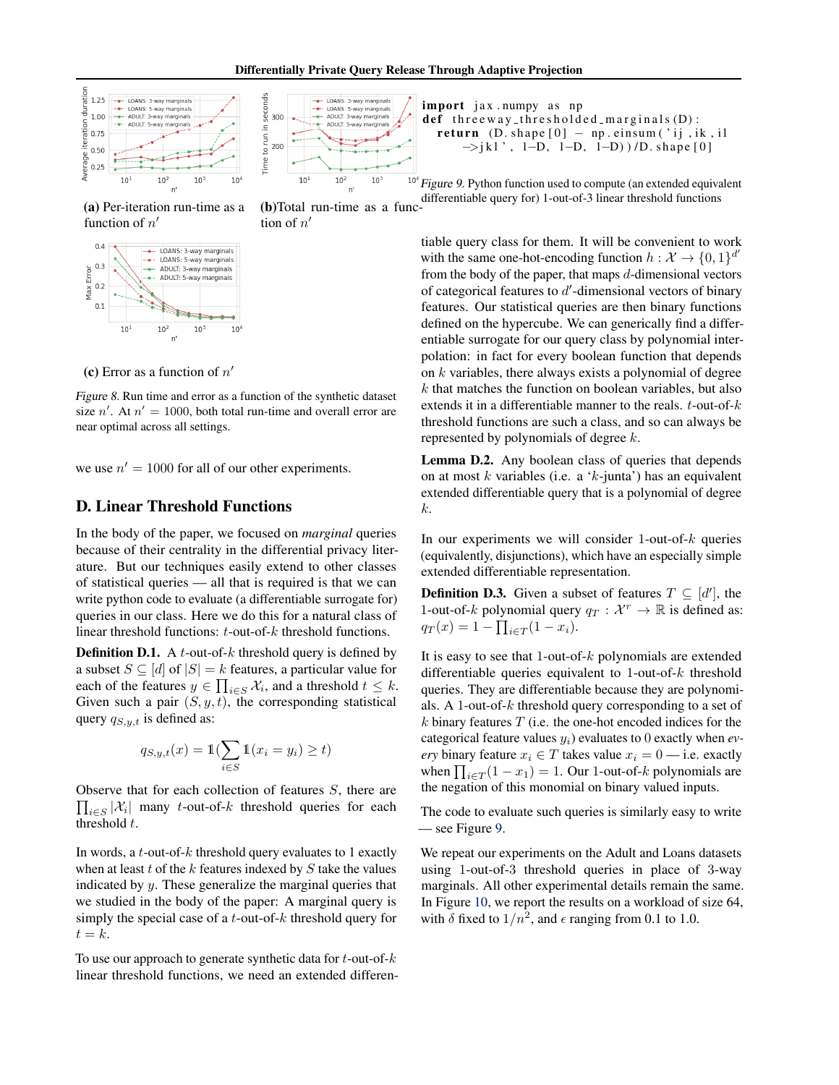<span id="page-1-0"></span>



tion of  $n'$ 

(a) Per-iteration run-time as a function of  $n'$ 



(c) Error as a function of  $n'$ 

Figure 8. Run time and error as a function of the synthetic dataset size  $n'$ . At  $n' = 1000$ , both total run-time and overall error are near optimal across all settings.

we use  $n' = 1000$  for all of our other experiments.

## D. Linear Threshold Functions

In the body of the paper, we focused on *marginal* queries because of their centrality in the differential privacy literature. But our techniques easily extend to other classes of statistical queries — all that is required is that we can write python code to evaluate (a differentiable surrogate for) queries in our class. Here we do this for a natural class of linear threshold functions: t-out-of-k threshold functions.

**Definition D.1.** A *t*-out-of- $k$  threshold query is defined by a subset  $S \subseteq [d]$  of  $|S| = k$  features, a particular value for each of the features  $y \in \prod_{i \in S} \mathcal{X}_i$ , and a threshold  $t \leq k$ . Given such a pair  $(S, y, t)$ , the corresponding statistical query  $q_{S,y,t}$  is defined as:

$$
q_{S,y,t}(x) = \mathbb{1}(\sum_{i \in S} \mathbb{1}(x_i = y_i) \ge t)
$$

Observe that for each collection of features  $S$ , there are  $\prod_{i\in S} |\mathcal{X}_i|$  many t-out-of-k threshold queries for each threshold t.

In words, a  $t$ -out-of- $k$  threshold query evaluates to 1 exactly when at least  $t$  of the  $k$  features indexed by  $S$  take the values indicated by y. These generalize the marginal queries that we studied in the body of the paper: A marginal query is simply the special case of a t-out-of-k threshold query for  $t = k$ .

To use our approach to generate synthetic data for  $t$ -out-of- $k$ linear threshold functions, we need an extended differenimport jax.numpy as np def three way\_thresholded\_marginals $(D)$ : return  $(D. shape [0] - np.einsum('ij, ik, il])$ −>j k l ' , 1−D, 1−D, 1−D) ) /D. s h a p e [ 0 ]

(b)Total run-time as a func-<br>differentiable query for 1-out-of-3 linear threshold functions  $10<sup>4</sup>$  Figure 9. Python function used to compute (an extended equivalent

> tiable query class for them. It will be convenient to work with the same one-hot-encoding function  $h: \mathcal{X} \to \{0, 1\}^{d'}$ from the body of the paper, that maps  $d$ -dimensional vectors of categorical features to  $d'$ -dimensional vectors of binary features. Our statistical queries are then binary functions defined on the hypercube. We can generically find a differentiable surrogate for our query class by polynomial interpolation: in fact for every boolean function that depends on k variables, there always exists a polynomial of degree k that matches the function on boolean variables, but also extends it in a differentiable manner to the reals.  $t$ -out-of- $k$ threshold functions are such a class, and so can always be represented by polynomials of degree k.

> Lemma D.2. Any boolean class of queries that depends on at most k variables (i.e. a 'k-junta') has an equivalent extended differentiable query that is a polynomial of degree k.

> In our experiments we will consider 1-out-of- $k$  queries (equivalently, disjunctions), which have an especially simple extended differentiable representation.

> **Definition D.3.** Given a subset of features  $T \subseteq [d']$ , the 1-out-of-k polynomial query  $q_T : \mathcal{X}^r \to \mathbb{R}$  is defined as:  $q_T(x) = 1 - \prod_{i \in T} (1 - x_i).$

> It is easy to see that  $1$ -out-of- $k$  polynomials are extended differentiable queries equivalent to 1-out-of-k threshold queries. They are differentiable because they are polynomials. A 1-out-of-k threshold query corresponding to a set of  $k$  binary features  $T$  (i.e. the one-hot encoded indices for the categorical feature values yi) evaluates to 0 exactly when *every* binary feature  $x_i \in T$  takes value  $x_i = 0$  — i.e. exactly when  $\prod_{i \in T} (1 - x_1) = 1$ . Our 1-out-of-k polynomials are the negation of this monomial on binary valued inputs.

> The code to evaluate such queries is similarly easy to write — see Figure 9.

> We repeat our experiments on the Adult and Loans datasets using 1-out-of-3 threshold queries in place of 3-way marginals. All other experimental details remain the same. In Figure [10,](#page-2-0) we report the results on a workload of size 64, with  $\delta$  fixed to  $1/n^2$ , and  $\epsilon$  ranging from 0.1 to 1.0.